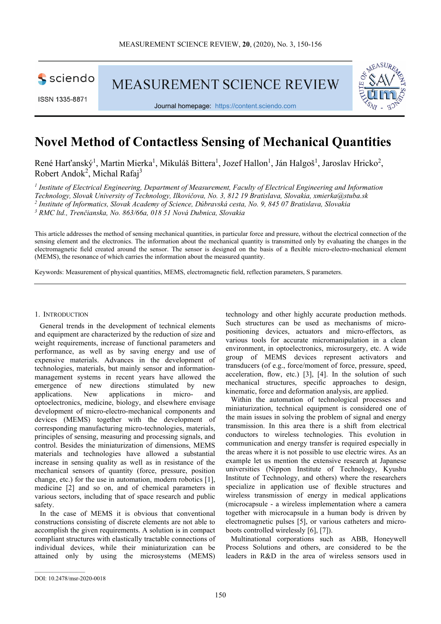

ISSN 1335-8871

**MEASUREMENT SCIENCE REVIEW** 



Journal homepage: https://content.sciendo.com

# **Novel Method of Contactless Sensing of Mechanical Quantities**

René Harťanský<sup>1</sup>, Martin Mierka<sup>1</sup>, Mikuláš Bittera<sup>1</sup>, Jozef Hallon<sup>1</sup>, Ján Halgoš<sup>1</sup>, Jaroslav Hricko<sup>2</sup>, Robert Andok<sup>2</sup>, Michal Rafaj<sup>3</sup>

<sup>1</sup> Institute of Electrical Engineering, Department of Measurement, Faculty of Electrical Engineering and Information *Technology, Slovak University of Technology, Ilkovičova, No. 3, 812 19 Bratislava, Slovakia, xmierka@stuba.sk 2 Institute of Informatics, Slovak Academy of Science, Dúbravská cesta, No. 9, 845 07 Bratislava, Slovakia 3 RMC ltd., Trenčianska, No. 863/66a, 018 51 Nová Dubnica, Slovakia* 

This article addresses the method of sensing mechanical quantities, in particular force and pressure, without the electrical connection of the sensing element and the electronics. The information about the mechanical quantity is transmitted only by evaluating the changes in the electromagnetic field created around the sensor. The sensor is designed on the basis of a flexible micro-electro-mechanical element (MEMS), the resonance of which carries the information about the measured quantity.

Keywords: Measurement of physical quantities, MEMS, electromagnetic field, reflection parameters, S parameters.

## 1. INTRODUCTION

General trends in the development of technical elements and equipment are characterized by the reduction of size and weight requirements, increase of functional parameters and performance, as well as by saving energy and use of expensive materials. Advances in the development of technologies, materials, but mainly sensor and informationmanagement systems in recent years have allowed the emergence of new directions stimulated by new directions stimulated by new applications. New applications in micro- and optoelectronics, medicine, biology, and elsewhere envisage development of micro-electro-mechanical components and devices (MEMS) together with the development of corresponding manufacturing micro-technologies, materials, principles of sensing, measuring and processing signals, and control. Besides the miniaturization of dimensions, MEMS materials and technologies have allowed a substantial increase in sensing quality as well as in resistance of the mechanical sensors of quantity (force, pressure, position change, etc.) for the use in automation, modern robotics [1], medicine [2] and so on, and of chemical parameters in various sectors, including that of space research and public safety.

In the case of MEMS it is obvious that conventional constructions consisting of discrete elements are not able to accomplish the given requirements. A solution is in compact compliant structures with elastically tractable connections of individual devices, while their miniaturization can be attained only by using the microsystems (MEMS)

technology and other highly accurate production methods. Such structures can be used as mechanisms of micropositioning devices, actuators and micro-effectors, as various tools for accurate micromanipulation in a clean environment, in optoelectronics, microsurgery, etc. A wide group of MEMS devices represent activators and transducers (of e.g., force/moment of force, pressure, speed, acceleration, flow, etc.) [3], [4]. In the solution of such mechanical structures, specific approaches to design, kinematic, force and deformation analysis, are applied.

Within the automation of technological processes and miniaturization, technical equipment is considered one of the main issues in solving the problem of signal and energy transmission. In this area there is a shift from electrical conductors to wireless technologies. This evolution in communication and energy transfer is required especially in the areas where it is not possible to use electric wires. As an example let us mention the extensive research at Japanese universities (Nippon Institute of Technology, Kyushu Institute of Technology, and others) where the researchers specialize in application use of flexible structures and wireless transmission of energy in medical applications (microcapsule - a wireless implementation where a camera together with microcapsule in a human body is driven by electromagnetic pulses [5], or various catheters and microboots controlled wirelessly [6], [7]).

Multinational corporations such as ABB, Honeywell Process Solutions and others, are considered to be the leaders in R&D in the area of wireless sensors used in

DOI: 10.2478/msr-2020-0018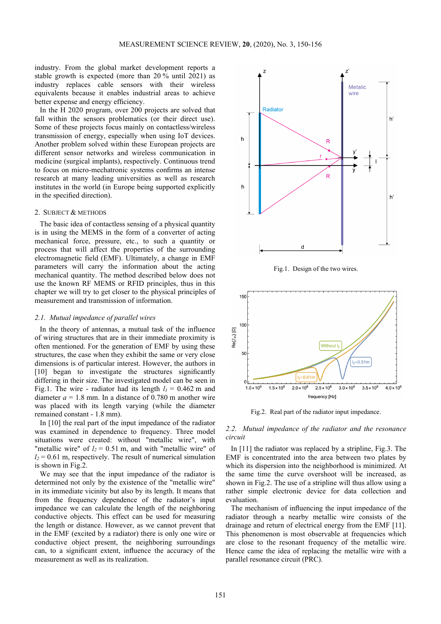industry. From the global market development reports a stable growth is expected (more than 20 % until 2021) as industry replaces cable sensors with their wireless equivalents because it enables industrial areas to achieve better expense and energy efficiency.

In the H 2020 program, over 200 projects are solved that fall within the sensors problematics (or their direct use). Some of these projects focus mainly on contactless/wireless transmission of energy, especially when using IoT devices. Another problem solved within these European projects are different sensor networks and wireless communication in medicine (surgical implants), respectively. Continuous trend to focus on micro-mechatronic systems confirms an intense research at many leading universities as well as research institutes in the world (in Europe being supported explicitly in the specified direction).

## 2. SUBJECT & METHODS

The basic idea of contactless sensing of a physical quantity is in using the MEMS in the form of a converter of acting mechanical force, pressure, etc., to such a quantity or process that will affect the properties of the surrounding electromagnetic field (EMF). Ultimately, a change in EMF parameters will carry the information about the acting mechanical quantity. The method described below does not use the known RF MEMS or RFID principles, thus in this chapter we will try to get closer to the physical principles of measurement and transmission of information.

#### *2.1. Mutual impedance of parallel wires*

In the theory of antennas, a mutual task of the influence of wiring structures that are in their immediate proximity is often mentioned. For the generation of EMF by using these structures, the case when they exhibit the same or very close dimensions is of particular interest. However, the authors in [10] began to investigate the structures significantly differing in their size. The investigated model can be seen in Fig.1. The wire - radiator had its length  $l_1 = 0.462$  m and diameter  $a = 1.8$  mm. In a distance of 0.780 m another wire was placed with its length varying (while the diameter remained constant - 1.8 mm).

In [10] the real part of the input impedance of the radiator was examined in dependence to frequency. Three model situations were created: without "metallic wire", with "metallic wire" of  $l_2$  = 0.51 m, and with "metallic wire" of  $l_2$  = 0.61 m, respectively. The result of numerical simulation is shown in Fig.2.

We may see that the input impedance of the radiator is determined not only by the existence of the "metallic wire" in its immediate vicinity but also by its length. It means that from the frequency dependence of the radiator's input impedance we can calculate the length of the neighboring conductive objects. This effect can be used for measuring the length or distance. However, as we cannot prevent that in the EMF (excited by a radiator) there is only one wire or conductive object present, the neighboring surroundings can, to a significant extent, influence the accuracy of the measurement as well as its realization.



Fig.1. Design of the two wires.



Fig.2. Real part of the radiator input impedance.

*2.2. Mutual impedance of the radiator and the resonance circuit* 

In [11] the radiator was replaced by a stripline, Fig.3. The EMF is concentrated into the area between two plates by which its dispersion into the neighborhood is minimized. At the same time the curve overshoot will be increased, as shown in Fig.2. The use of a stripline will thus allow using a rather simple electronic device for data collection and evaluation.

The mechanism of influencing the input impedance of the radiator through a nearby metallic wire consists of the drainage and return of electrical energy from the EMF [11]. This phenomenon is most observable at frequencies which are close to the resonant frequency of the metallic wire. Hence came the idea of replacing the metallic wire with a parallel resonance circuit (PRC).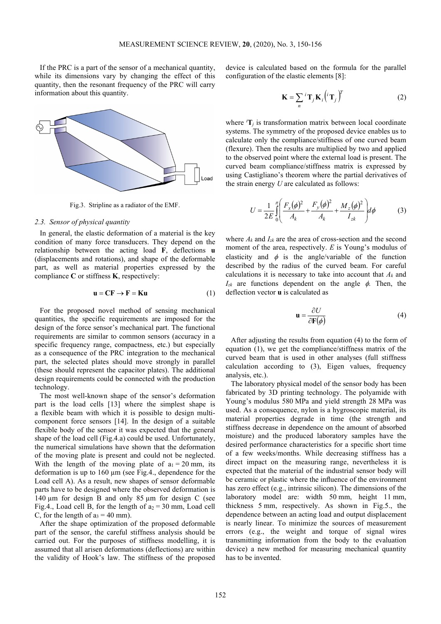If the PRC is a part of the sensor of a mechanical quantity, while its dimensions vary by changing the effect of this quantity, then the resonant frequency of the PRC will carry information about this quantity.



Fig.3. Stripline as a radiator of the EMF.

### *2.3. Sensor of physical quantity*

In general, the elastic deformation of a material is the key condition of many force transducers. They depend on the relationship between the acting load **F**, deflections **u** (displacements and rotations), and shape of the deformable part, as well as material properties expressed by the compliance **C** or stiffness **K**, respectively:

$$
\mathbf{u} = \mathbf{C}\mathbf{F} \to \mathbf{F} = \mathbf{K}\mathbf{u} \tag{1}
$$

For the proposed novel method of sensing mechanical quantities, the specific requirements are imposed for the design of the force sensor's mechanical part. The functional requirements are similar to common sensors (accuracy in a specific frequency range, compactness, etc.) but especially as a consequence of the PRC integration to the mechanical part, the selected plates should move strongly in parallel (these should represent the capacitor plates). The additional design requirements could be connected with the production technology.

The most well-known shape of the sensor's deformation part is the load cells [13] where the simplest shape is a flexible beam with which it is possible to design multicomponent force sensors [14]. In the design of a suitable flexible body of the sensor it was expected that the general shape of the load cell (Fig.4.a) could be used. Unfortunately, the numerical simulations have shown that the deformation of the moving plate is present and could not be neglected. With the length of the moving plate of  $a_1 = 20$  mm, its deformation is up to  $160 \mu m$  (see Fig.4., dependence for the Load cell A). As a result, new shapes of sensor deformable parts have to be designed where the observed deformation is 140 µm for design B and only 85 µm for design C (see Fig.4., Load cell B, for the length of  $a_2 = 30$  mm, Load cell C, for the length of  $a_3 = 40$  mm).

After the shape optimization of the proposed deformable part of the sensor, the careful stiffness analysis should be carried out. For the purposes of stiffness modelling, it is assumed that all arisen deformations (deflections) are within the validity of Hook's law. The stiffness of the proposed device is calculated based on the formula for the parallel configuration of the elastic elements [8]:

$$
\mathbf{K} = \sum_{n} {}^{i} \mathbf{T}_{j} \mathbf{K}_{i} \left( {}^{i} \mathbf{T}_{j} \right)^{T}
$$
 (2)

where  ${}^{i}$ **T**<sub>*j*</sub> is transformation matrix between local coordinate systems. The symmetry of the proposed device enables us to calculate only the compliance/stiffness of one curved beam (flexure). Then the results are multiplied by two and applied to the observed point where the external load is present. The curved beam compliance/stiffness matrix is expressed by using Castigliano's theorem where the partial derivatives of the strain energy *U* are calculated as follows:

$$
U = \frac{1}{2E} \int_{0}^{\pi} \left( \frac{F_x(\phi)^2}{A_k} + \frac{F_y(\phi)^2}{A_k} + \frac{M_z(\phi)^2}{I_{zk}} \right) d\phi
$$
 (3)

where  $A_k$  and  $I_{zk}$  are the area of cross-section and the second moment of the area, respectively. *E* is Young's modulus of elasticity and  $\phi$  is the angle/variable of the function described by the radius of the curved beam. For careful calculations it is necessary to take into account that *Ak* and  $I_{zk}$  are functions dependent on the angle  $\phi$ . Then, the deflection vector **u** is calculated as

$$
\mathbf{u} = \frac{\partial U}{\partial \mathbf{F}(\phi)}\tag{4}
$$

After adjusting the results from equation (4) to the form of equation (1), we get the compliance/stiffness matrix of the curved beam that is used in other analyses (full stiffness calculation according to (3), Eigen values, frequency analysis, etc.).

The laboratory physical model of the sensor body has been fabricated by 3D printing technology. The polyamide with Young's modulus 580 MPa and yield strength 28 MPa was used. As a consequence, nylon is a hygroscopic material, its material properties degrade in time (the strength and stiffness decrease in dependence on the amount of absorbed moisture) and the produced laboratory samples have the desired performance characteristics for a specific short time of a few weeks/months. While decreasing stiffness has a direct impact on the measuring range, nevertheless it is expected that the material of the industrial sensor body will be ceramic or plastic where the influence of the environment has zero effect (e.g., intrinsic silicon). The dimensions of the laboratory model are: width 50 mm, height 11 mm, thickness 5 mm, respectively. As shown in Fig.5., the dependence between an acting load and output displacement is nearly linear. To minimize the sources of measurement errors (e.g., the weight and torque of signal wires transmitting information from the body to the evaluation device) a new method for measuring mechanical quantity has to be invented.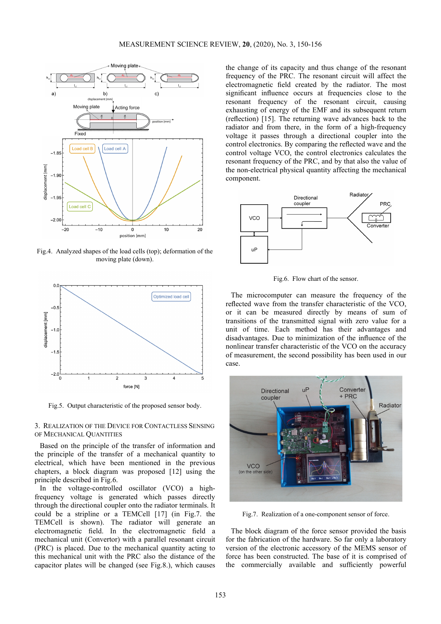

Fig.4. Analyzed shapes of the load cells (top); deformation of the moving plate (down).



Fig.5. Output characteristic of the proposed sensor body.

### 3. REALIZATION OF THE DEVICE FOR CONTACTLESS SENSING OF MECHANICAL QUANTITIES

Based on the principle of the transfer of information and the principle of the transfer of a mechanical quantity to electrical, which have been mentioned in the previous chapters, a block diagram was proposed [12] using the principle described in Fig.6.

In the voltage-controlled oscillator (VCO) a highfrequency voltage is generated which passes directly through the directional coupler onto the radiator terminals. It could be a stripline or a TEMCell [17] (in Fig.7. the TEMCell is shown). The radiator will generate an electromagnetic field. In the electromagnetic field a mechanical unit (Convertor) with a parallel resonant circuit (PRC) is placed. Due to the mechanical quantity acting to this mechanical unit with the PRC also the distance of the capacitor plates will be changed (see Fig.8.), which causes the change of its capacity and thus change of the resonant frequency of the PRC. The resonant circuit will affect the electromagnetic field created by the radiator. The most significant influence occurs at frequencies close to the resonant frequency of the resonant circuit, causing exhausting of energy of the EMF and its subsequent return (reflection) [15]. The returning wave advances back to the radiator and from there, in the form of a high-frequency voltage it passes through a directional coupler into the control electronics. By comparing the reflected wave and the control voltage VCO, the control electronics calculates the resonant frequency of the PRC, and by that also the value of the non-electrical physical quantity affecting the mechanical component.



Fig.6. Flow chart of the sensor.

The microcomputer can measure the frequency of the reflected wave from the transfer characteristic of the VCO, or it can be measured directly by means of sum of transitions of the transmitted signal with zero value for a unit of time. Each method has their advantages and disadvantages. Due to minimization of the influence of the nonlinear transfer characteristic of the VCO on the accuracy of measurement, the second possibility has been used in our case.



Fig.7. Realization of a one-component sensor of force.

The block diagram of the force sensor provided the basis for the fabrication of the hardware. So far only a laboratory version of the electronic accessory of the MEMS sensor of force has been constructed. The base of it is comprised of the commercially available and sufficiently powerful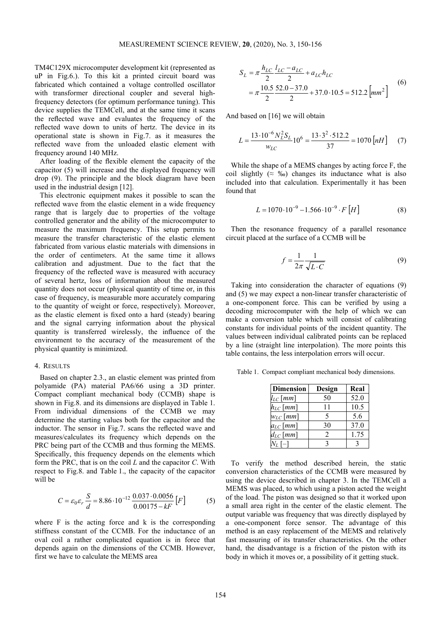TM4C129X microcomputer development kit (represented as uP in Fig.6.). To this kit a printed circuit board was fabricated which contained a voltage controlled oscillator with transformer directional coupler and several highfrequency detectors (for optimum performance tuning). This device supplies the TEMCell, and at the same time it scans the reflected wave and evaluates the frequency of the reflected wave down to units of hertz. The device in its operational state is shown in Fig.7. as it measures the reflected wave from the unloaded elastic element with frequency around 140 MHz.

After loading of the flexible element the capacity of the capacitor (5) will increase and the displayed frequency will drop (9). The principle and the block diagram have been used in the industrial design [12].

This electronic equipment makes it possible to scan the reflected wave from the elastic element in a wide frequency range that is largely due to properties of the voltage controlled generator and the ability of the microcomputer to measure the maximum frequency. This setup permits to measure the transfer characteristic of the elastic element fabricated from various elastic materials with dimensions in the order of centimeters. At the same time it allows calibration and adjustment. Due to the fact that the frequency of the reflected wave is measured with accuracy of several hertz, loss of information about the measured quantity does not occur (physical quantity of time or, in this case of frequency, is measurable more accurately comparing to the quantity of weight or force, respectively). Moreover, as the elastic element is fixed onto a hard (steady) bearing and the signal carrying information about the physical quantity is transferred wirelessly, the influence of the environment to the accuracy of the measurement of the physical quantity is minimized.

#### 4. RESULTS

Based on chapter 2.3., an elastic element was printed from polyamide (PA) material PA6/66 using a 3D printer. Compact compliant mechanical body (CCMB) shape is shown in Fig.8. and its dimensions are displayed in Table 1. From individual dimensions of the CCMB we may determine the starting values both for the capacitor and the inductor. The sensor in Fig.7. scans the reflected wave and measures/calculates its frequency which depends on the PRC being part of the CCMB and thus forming the MEMS. Specifically, this frequency depends on the elements which form the PRC, that is on the coil *L* and the capacitor *C*. With respect to Fig.8. and Table 1., the capacity of the capacitor will be

$$
C = \varepsilon_0 \varepsilon_r \frac{S}{d} = 8.86 \cdot 10^{-12} \frac{0.037 \cdot 0.0056}{0.00175 - kF} [F]
$$
 (5)

where F is the acting force and k is the corresponding stiffness constant of the CCMB. For the inductance of an oval coil a rather complicated equation is in force that depends again on the dimensions of the CCMB. However, first we have to calculate the MEMS area

$$
S_L = \pi \frac{h_{LC}}{2} \frac{l_{LC} - a_{LC}}{2} + a_{LC} h_{LC}
$$
  
=  $\pi \frac{10.5}{2} \frac{52.0 - 37.0}{2} + 37.0 \cdot 10.5 = 512.2 \text{ [mm}^2 \text{]}$  (6)

And based on [16] we will obtain

$$
L = \frac{13 \cdot 10^{-6} N_L^2 S_L}{w_{LC}} 10^6 = \frac{13 \cdot 3^2 \cdot 512.2}{37} = 1070 \left[ nH \right] \tag{7}
$$

While the shape of a MEMS changes by acting force F, the coil slightly ( $\approx$  ‰) changes its inductance what is also included into that calculation. Experimentally it has been found that

$$
L = 1070 \cdot 10^{-9} - 1.566 \cdot 10^{-9} \cdot F[H]
$$
 (8)

Then the resonance frequency of a parallel resonance circuit placed at the surface of a CCMB will be

$$
f = \frac{1}{2\pi} \frac{1}{\sqrt{L \cdot C}}\tag{9}
$$

Taking into consideration the character of equations (9) and (5) we may expect a non-linear transfer characteristic of a one-component force. This can be verified by using a decoding microcomputer with the help of which we can make a conversion table which will consist of calibrating constants for individual points of the incident quantity. The values between individual calibrated points can be replaced by a line (straight line interpolation). The more points this table contains, the less interpolation errors will occur.

Table 1. Compact compliant mechanical body dimensions.

| <b>Dimension</b> | Design | Real |
|------------------|--------|------|
| $l_{LC}$ [mm]    | 50     | 52.0 |
| $h_{LC}$ $[mm]$  | 11     | 10.5 |
| $w_{LC}$ [mm]    | 5      | 5.6  |
| $a_{LC}$ [mm]    | 30     | 37.0 |
| $d_{LC}\,[mm]$   | 2      | 1.75 |
| $N_L$ [-]        | 3      | 3    |

To verify the method described herein, the static conversion characteristics of the CCMB were measured by using the device described in chapter 3. In the TEMCell a MEMS was placed, to which using a piston acted the weight of the load. The piston was designed so that it worked upon a small area right in the center of the elastic element. The output variable was frequency that was directly displayed by a one-component force sensor. The advantage of this method is an easy replacement of the MEMS and relatively fast measuring of its transfer characteristics. On the other hand, the disadvantage is a friction of the piston with its body in which it moves or, a possibility of it getting stuck.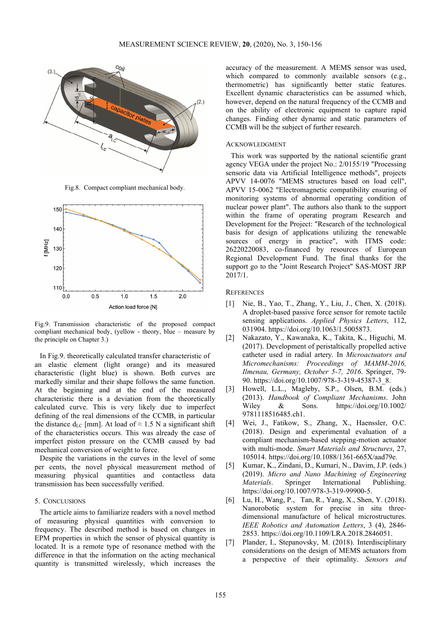

Fig.8. Compact compliant mechanical body.



Fig.9. Transmission characteristic of the proposed compact compliant mechanical body, (yellow - theory, blue – measure by the principle on Chapter 3.)

In Fig.9. theoretically calculated transfer characteristic of an elastic element (light orange) and its measured characteristic (light blue) is shown. Both curves are markedly similar and their shape follows the same function. At the beginning and at the end of the measured characteristic there is a deviation from the theoretically calculated curve. This is very likely due to imperfect defining of the real dimensions of the CCMB, in particular the distance d<sub>LC</sub> [mm]. At load of  $\approx 1.5$  N a significant shift of the characteristics occurs. This was already the case of imperfect piston pressure on the CCMB caused by bad mechanical conversion of weight to force.

Despite the variations in the curves in the level of some per cents, the novel physical measurement method of measuring physical quantities and contactless data transmission has been successfully verified.

### 5. CONCLUSIONS

The article aims to familiarize readers with a novel method of measuring physical quantities with conversion to frequency. The described method is based on changes in EPM properties in which the sensor of physical quantity is located. It is a remote type of resonance method with the difference in that the information on the acting mechanical quantity is transmitted wirelessly, which increases the accuracy of the measurement. A MEMS sensor was used, which compared to commonly available sensors (e.g., thermometric) has significantly better static features. Excellent dynamic characteristics can be assumed which, however, depend on the natural frequency of the CCMB and on the ability of electronic equipment to capture rapid changes. Finding other dynamic and static parameters of CCMB will be the subject of further research.

#### ACKNOWLEDGMENT

This work was supported by the national scientific grant agency VEGA under the project No.: 2/0155/19 "Processing sensoric data via Artificial Intelligence methods", projects APVV 14-0076 "MEMS structures based on load cell", APVV 15-0062 "Electromagnetic compatibility ensuring of monitoring systems of abnormal operating condition of nuclear power plant". The authors also thank to the support within the frame of operating program Research and Development for the Project: "Research of the technological basis for design of applications utilizing the renewable sources of energy in practice", with ITMS code: 26220220083, co-financed by resources of European Regional Development Fund. The final thanks for the support go to the "Joint Research Project" SAS-MOST JRP 2017/1.

#### **REFERENCES**

- [1] Nie, B., Yao, T., Zhang, Y., Liu, J., Chen, X. (2018). A droplet-based passive force sensor for remote tactile sensing applications. *Applied Physics Letters*, 112, 031904. https://doi.org/10.1063/1.5005873.
- [2] Nakazato, Y., Kawanaka, K., Takita, K., Higuchi, M. (2017). Development of peristaltically propelled active catheter used in radial artery. In *Microactuators and Micromechanisms: Proceedings of MAMM-2016, Ilmenau, Germany, October 5-7, 2016*. Springer, 79- 90. https://doi.org/10.1007/978-3-319-45387-3\_8.
- [3] Howell, L.L., Magleby, S.P., Olsen, B.M. (eds.) (2013). *Handbook of Compliant Mechanisms*. John Wiley & Sons. https://doi.org/10.1002/ 9781118516485.ch1.
- [4] Wei, J., Fatikow, S., Zhang, X., Haenssler, O.C. (2018). Design and experimental evaluation of a compliant mechanism-based stepping-motion actuator with multi-mode. *Smart Materials and Structures*, 27, 105014. https://doi.org/10.1088/1361-665X/aad79e.
- [5] Kumar, K., Zindani, D., Kumari, N., Davim, J.P. (eds.) (2019). *Micro and Nano Machining of Engineering Materials*. Springer International Publishing. https://doi.org/10.1007/978-3-319-99900-5.
- [6] Lu, H., Wang, P., Tan, R., Yang, X., Shen, Y. (2018). Nanorobotic system for precise in situ threedimensional manufacture of helical microstructures. *IEEE Robotics and Automation Letters*, 3 (4), 2846- 2853. https://doi.org/10.1109/LRA.2018.2846051.
- [7] Plander, I., Stepanovsky, M. (2018). Interdisciplinary considerations on the design of MEMS actuators from a perspective of their optimality. *Sensors and*